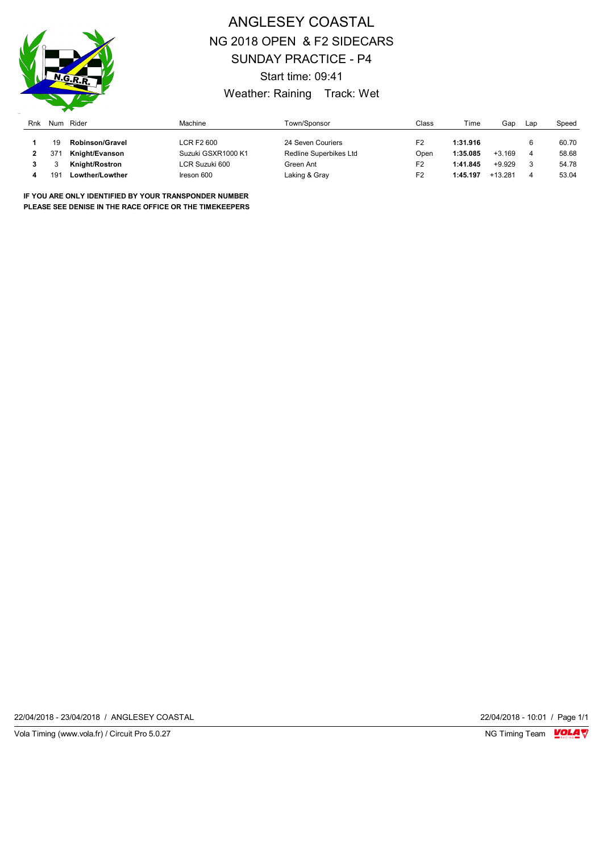

## ANGLESEY COASTAL NG 2018 OPEN & F2 SIDECARS SUNDAY PRACTICE - P4 Start time: 09:41 Weather: Raining Track: Wet

| Rnk | Num             | Rider                  | Machine            | Town/Sponsor           | Class          | Time     | Gap       | Lap | Speed |
|-----|-----------------|------------------------|--------------------|------------------------|----------------|----------|-----------|-----|-------|
|     | 19              | <b>Robinson/Gravel</b> | LCR F2 600         | 24 Seven Couriers      | F <sub>2</sub> | 1:31.916 |           |     | 60.70 |
|     | 37 <sup>′</sup> | Knight/Evanson         | Suzuki GSXR1000 K1 | Redline Superbikes Ltd | Open           | 1:35.085 | $+3.169$  |     | 58.68 |
|     |                 | Knight/Rostron         | LCR Suzuki 600     | Green Ant              | F <sub>2</sub> | 1:41.845 | $+9.929$  |     | 54.78 |
|     | 19 <sup>1</sup> | Lowther/Lowther        | Ireson 600         | Laking & Gray          | F2             | 1:45.197 | $+13.281$ | 4   | 53.04 |

**IF YOU ARE ONLY IDENTIFIED BY YOUR TRANSPONDER NUMBER PLEASE SEE DENISE IN THE RACE OFFICE OR THE TIMEKEEPERS**

22/04/2018 - 23/04/2018 / ANGLESEY COASTAL 22/04/2018 - 10:01 / Page 1/1

Vola Timing (www.vola.fr) / Circuit Pro 5.0.27 **NG Timing Team MOLA View Area** NG Timing Team MOLA View Area NG Timing Team MOLA View Area NG Timing Team MOLA View Area NG Timing Team MOLA View Area NG Timing Team MOLA Vie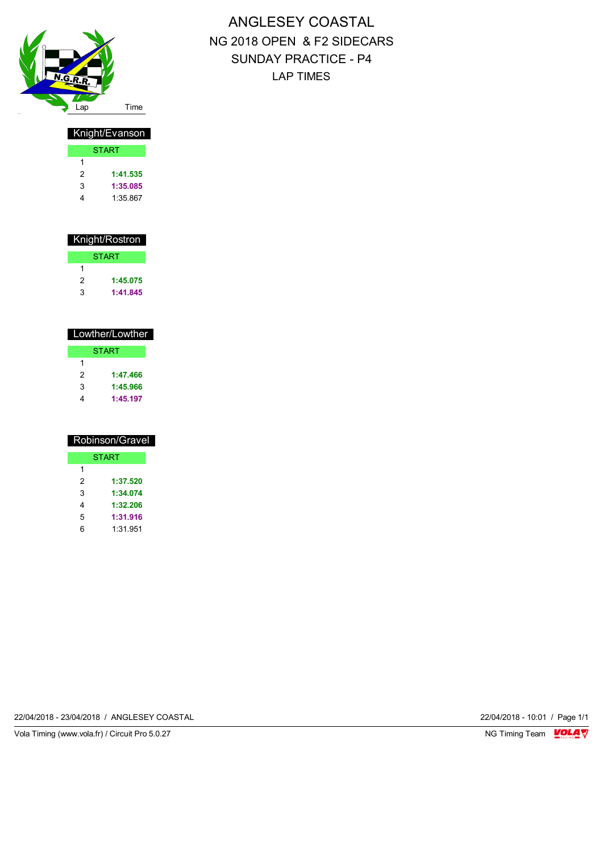

# ANGLESEY COASTAL NG 2018 OPEN & F2 SIDECARS SUNDAY PRACTICE - P4 LAP TIMES

| Knight/Evanson |          |  |  |  |
|----------------|----------|--|--|--|
| <b>START</b>   |          |  |  |  |
| 1              |          |  |  |  |
| 2              | 1:41.535 |  |  |  |
| 3              | 1:35.085 |  |  |  |
|                | 1:35.867 |  |  |  |

| Knight/Rostron |              |  |  |
|----------------|--------------|--|--|
|                | <b>START</b> |  |  |
| 1              |              |  |  |
| 2              | 1:45.075     |  |  |
| 3              | 1:41.845     |  |  |

| Lowther/Lowther |              |  |  |
|-----------------|--------------|--|--|
|                 | <b>START</b> |  |  |
| 1               |              |  |  |
| 2               | 1:47.466     |  |  |
| 3               | 1:45.966     |  |  |
|                 | 1:45.197     |  |  |

| Robinson/Gravel |              |  |
|-----------------|--------------|--|
|                 | <b>START</b> |  |
| 1               |              |  |
| 2               | 1:37.520     |  |
| 3               | 1:34.074     |  |
| 4               | 1:32.206     |  |
| 5               | 1:31.916     |  |
| 6               | 1:31.951     |  |

22/04/2018 - 23/04/2018 / ANGLESEY COASTAL 22/04/2018 - 10:01 / Page 1/1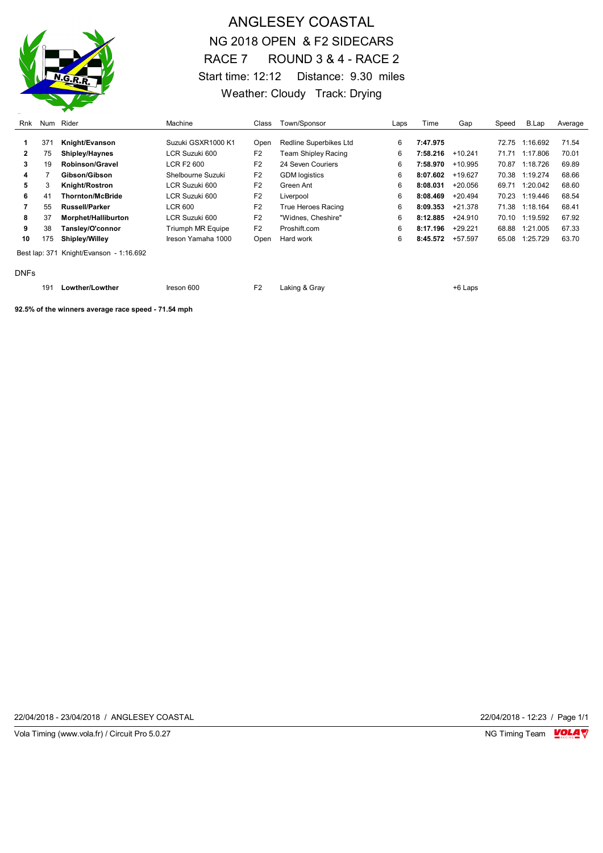

## ANGLESEY COASTAL NG 2018 OPEN & F2 SIDECARS RACE 7 ROUND 3 & 4 - RACE 2 Start time: 12:12 Distance: 9.30 miles Weather: Cloudy Track: Drying

| Rnk          | Num | Rider                                   | Machine                  | Class          | Town/Sponsor                  | Laps | Time     | Gap       | Speed | B.Lap          | Average |
|--------------|-----|-----------------------------------------|--------------------------|----------------|-------------------------------|------|----------|-----------|-------|----------------|---------|
|              | 371 | Knight/Evanson                          | Suzuki GSXR1000 K1       | Open           | <b>Redline Superbikes Ltd</b> | 6    | 7:47.975 |           | 72.75 | 1:16.692       | 71.54   |
| $\mathbf{2}$ | 75  | Shipley/Haynes                          | LCR Suzuki 600           | F <sub>2</sub> | Team Shipley Racing           | 6    | 7:58.216 | $+10.241$ | 71.71 | 1:17.806       | 70.01   |
| 3            | 19  | Robinson/Gravel                         | <b>LCR F2 600</b>        | F <sub>2</sub> | 24 Seven Couriers             | 6    | 7:58.970 | $+10.995$ | 70.87 | 1:18.726       | 69.89   |
| 4            |     | Gibson/Gibson                           | Shelbourne Suzuki        | F <sub>2</sub> | <b>GDM</b> logistics          | 6    | 8:07.602 | $+19.627$ | 70.38 | 1:19.274       | 68.66   |
| 5            | 3   | <b>Knight/Rostron</b>                   | LCR Suzuki 600           | F <sub>2</sub> | Green Ant                     | 6    | 8:08.031 | $+20.056$ | 69.71 | 1:20.042       | 68.60   |
| 6            | 41  | <b>Thornton/McBride</b>                 | LCR Suzuki 600           | F <sub>2</sub> | Liverpool                     | 6    | 8:08.469 | $+20.494$ |       | 70.23 1:19.446 | 68.54   |
|              | 55  | <b>Russell/Parker</b>                   | LCR 600                  | F <sub>2</sub> | True Heroes Racing            | 6    | 8:09.353 | $+21.378$ | 71.38 | 1:18.164       | 68.41   |
| 8            | 37  | Morphet/Halliburton                     | LCR Suzuki 600           | F <sub>2</sub> | "Widnes, Cheshire"            | 6    | 8:12.885 | $+24.910$ | 70.10 | 1:19.592       | 67.92   |
| 9            | 38  | Tansley/O'connor                        | <b>Triumph MR Equipe</b> | F <sub>2</sub> | Proshift.com                  | 6    | 8:17.196 | $+29.221$ | 68.88 | 1:21.005       | 67.33   |
| 10           | 175 | Shipley/Willey                          | Ireson Yamaha 1000       | Open           | Hard work                     | 6    | 8:45.572 | $+57.597$ | 65.08 | 1:25.729       | 63.70   |
|              |     | Best lap: 371 Knight/Evanson - 1:16.692 |                          |                |                               |      |          |           |       |                |         |

#### DNFs

191 **Lowther/Lowther Ineson 600** F2 Laking & Gray **F10 Land Account Account F10 Laps** 

**92.5% of the winners average race speed - 71.54 mph**

22/04/2018 - 23/04/2018 / ANGLESEY COASTAL 22/04/2018 - 12:23 / Page 1/1

Vola Timing (www.vola.fr) / Circuit Pro 5.0.27 **NG Timing Team MOLA View Area** NG Timing Team MOLA View Area NG Timing Team MOLA View Area NG Timing Team MOLA View Area NG Timing Team MOLA View Area NG Timing Team MOLA Vie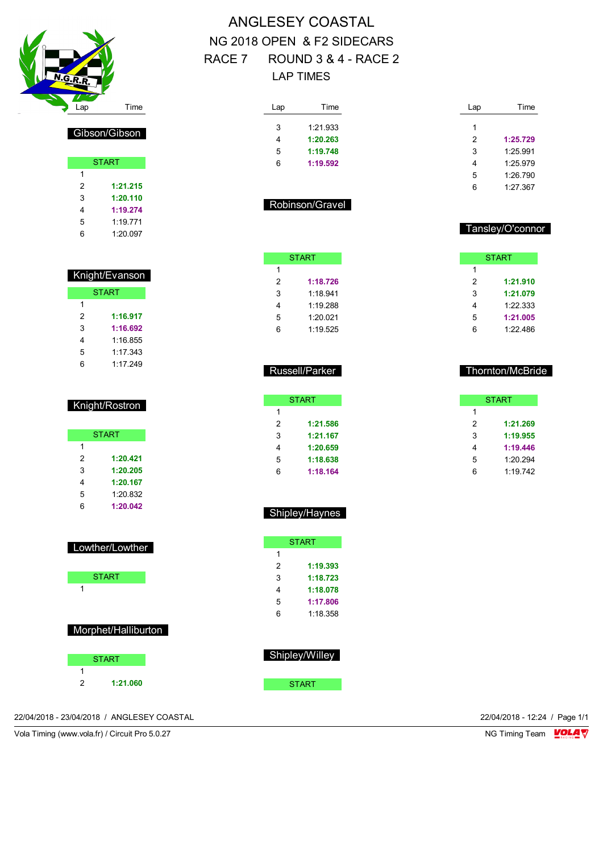

# Gibson/Gibson

|   | <b>START</b> |
|---|--------------|
| 1 |              |
| 2 | 1:21.215     |
| 3 | 1:20.110     |
| 4 | 1:19.274     |
| 5 | 1.19 771     |
| 6 | 1:20.097     |

| Knight/Evanson |              |  |  |
|----------------|--------------|--|--|
|                | <b>START</b> |  |  |
| 1              |              |  |  |
| 2              | 1:16.917     |  |  |
| 3              | 1:16.692     |  |  |
| 4              | 1:16.855     |  |  |
| 5              | 1:17.343     |  |  |
| 6              | 1.17 249     |  |  |

| Knight/Rostron |  |
|----------------|--|
|                |  |
|                |  |
|                |  |

|   | <b>START</b> |
|---|--------------|
| 1 |              |
| 2 | 1:20.421     |
| 3 | 1:20.205     |
| 4 | 1:20.167     |
| 5 | 1:20.832     |
| հ | 1:20.042     |

|   | Lowther/Lowther     |  |
|---|---------------------|--|
|   | <b>START</b>        |  |
| 1 |                     |  |
|   |                     |  |
|   | Morphet/Halliburton |  |
|   | <b>START</b>        |  |
| 1 |                     |  |
| 2 | 1:21.060            |  |

## ANGLESEY COASTAL NG 2018 OPEN & F2 SIDECARS RACE 7 ROUND 3 & 4 - RACE 2 LAP TIMES

| Lap | Time     |
|-----|----------|
| 3   | 1:21.933 |
| 4   | 1:20.263 |
| 5   | 1:19.748 |
| հ   | 1:19.592 |

| Lap | Time     |
|-----|----------|
| 1   |          |
|     |          |
| 2   | 1:25.729 |
| 3   | 1.25 991 |
| 4   | 1:25.979 |
| 5   | 1:26.790 |
| 6   | 1:27.367 |

#### Robinson/Gravel

**START** 

 **1:18.726** 1:18.941 1:19.288 1:20.021 1:19.525

#### Tansley/O'connor

Thornton/McBride

START

 **1:21.269 1:19.955 1:19.446** 1:20.294 1:19.742

|   | <b>START</b> |
|---|--------------|
| 1 |              |
| 2 | 1:21.910     |
| 3 | 1:21.079     |
|   | 1:22.333     |
| 5 | 1:21.005     |
|   | 1:22.486     |

#### Russell/Parker

| <b>START</b> |
|--------------|
|              |
| 1:21.586     |
| 1:21.167     |
| 1:20.659     |
| 1:18.638     |
| 1:18.164     |
|              |

## Shipley/Haynes

|   | START    |
|---|----------|
| 1 |          |
| 2 | 1:19.393 |
| 3 | 1:18.723 |
| 4 | 1:18.078 |
| 5 | 1:17.806 |
| հ | 1.18.358 |
|   |          |

| Shipley/Will <u>e</u> y |
|-------------------------|
|                         |
| START                   |

22/04/2018 - 23/04/2018 / ANGLESEY COASTAL 22/04/2018 - 12:24 / Page 1/1

Vola Timing (www.vola.fr) / Circuit Pro 5.0.27 NG Timing Team NG Timing Team NG Timing Team NG Timing Team NG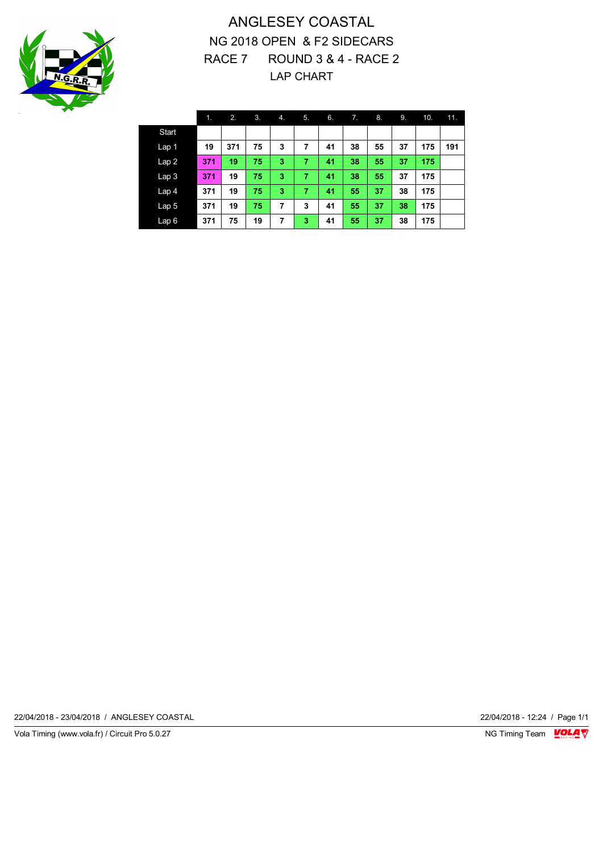

## ANGLESEY COASTAL NG 2018 OPEN & F2 SIDECARS RACE 7 ROUND 3 & 4 - RACE 2 LAP CHART

|                  | 1.  | 2.  | 3. | 4. | 5. | 6. | 7. | 8. | 9. | 10. | 11. |
|------------------|-----|-----|----|----|----|----|----|----|----|-----|-----|
| Start            |     |     |    |    |    |    |    |    |    |     |     |
| Lap 1            | 19  | 371 | 75 | 3  | 7  | 41 | 38 | 55 | 37 | 175 | 191 |
| Lap <sub>2</sub> | 371 | 19  | 75 | 3  | 7  | 41 | 38 | 55 | 37 | 175 |     |
| Lap <sub>3</sub> | 371 | 19  | 75 | 3  | 7  | 41 | 38 | 55 | 37 | 175 |     |
| Lap <sub>4</sub> | 371 | 19  | 75 | 3  | 7  | 41 | 55 | 37 | 38 | 175 |     |
| Lap <sub>5</sub> | 371 | 19  | 75 | 7  | 3  | 41 | 55 | 37 | 38 | 175 |     |
| Lap6             | 371 | 75  | 19 | 7  | 3  | 41 | 55 | 37 | 38 | 175 |     |

22/04/2018 - 23/04/2018 / ANGLESEY COASTAL 22/04/2018 - 12:24 / Page 1/1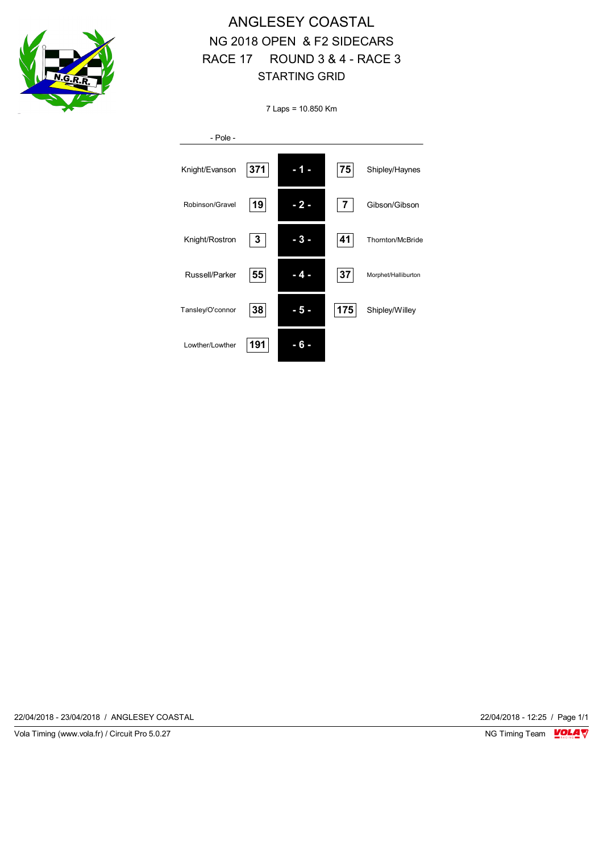

# ANGLESEY COASTAL NG 2018 OPEN & F2 SIDECARS RACE 17 ROUND 3 & 4 - RACE 3 STARTING GRID

7 Laps = 10.850 Km

| - Pole -         |     |     |     |                     |
|------------------|-----|-----|-----|---------------------|
| Knight/Evanson   | 371 |     | 75  | Shipley/Haynes      |
| Robinson/Gravel  | 19  | - 2 | 7   | Gibson/Gibson       |
| Knight/Rostron   | 3   |     | 41  | Thornton/McBride    |
| Russell/Parker   | 55  | - 4 | 37  | Morphet/Halliburton |
| Tansley/O'connor | 38  | - 5 | 175 | Shipley/Willey      |
| Lowther/Lowther  | 191 |     |     |                     |

22/04/2018 - 23/04/2018 / ANGLESEY COASTAL 22/04/2018 - 12:25 / Page 1/1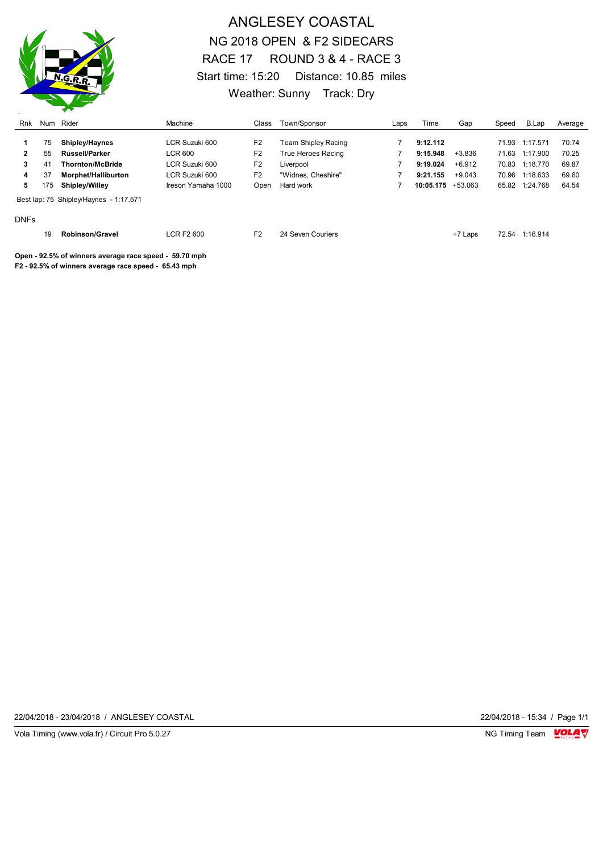

## ANGLESEY COASTAL NG 2018 OPEN & F2 SIDECARS RACE 17 ROUND 3 & 4 - RACE 3 Start time: 15:20 Distance: 10.85 miles Weather: Sunny Track: Dry

| Rnk         |          | Num Rider                                              | Machine                          | Class                            | Town/Sponsor                    | Laps | Time                 | Gap                  | Speed          | B.Lap                | Average        |
|-------------|----------|--------------------------------------------------------|----------------------------------|----------------------------------|---------------------------------|------|----------------------|----------------------|----------------|----------------------|----------------|
|             | 75       | <b>Shipley/Haynes</b>                                  | LCR Suzuki 600                   | F <sub>2</sub>                   | Team Shipley Racing             |      | 9:12.112             |                      | 71.93          | 1:17.571             | 70.74          |
| 2<br>3      | 55<br>41 | <b>Russell/Parker</b><br><b>Thornton/McBride</b>       | <b>LCR 600</b><br>LCR Suzuki 600 | F <sub>2</sub><br>F <sub>2</sub> | True Heroes Racing<br>Liverpool |      | 9:15.948<br>9:19.024 | $+3.836$<br>$+6.912$ | 71.63<br>70.83 | 1:17.900<br>1:18.770 | 70.25<br>69.87 |
| 4           | 37       | Morphet/Halliburton                                    | LCR Suzuki 600                   | F <sub>2</sub>                   | "Widnes, Cheshire"              |      | 9:21.155             | $+9.043$             | 70.96          | 1:18.633             | 69.60          |
| 5           | 175      | <b>Shipley/Willey</b>                                  | Ireson Yamaha 1000               | Open                             | Hard work                       |      | $10:05.175 + 53.063$ |                      |                | 65.82 1:24.768       | 64.54          |
|             |          | Best lap: 75 Shipley/Haynes - 1:17.571                 |                                  |                                  |                                 |      |                      |                      |                |                      |                |
| <b>DNFs</b> |          |                                                        |                                  |                                  |                                 |      |                      |                      |                |                      |                |
|             | 19       | <b>Robinson/Gravel</b>                                 | <b>LCR F2 600</b>                | F <sub>2</sub>                   | 24 Seven Couriers               |      |                      | +7 Laps              | 72.54          | 1:16.914             |                |
|             |          | Open - 92.5% of winners average race speed - 59.70 mph |                                  |                                  |                                 |      |                      |                      |                |                      |                |

**F2 - 92.5% of winners average race speed - 65.43 mph**

22/04/2018 - 23/04/2018 / ANGLESEY COASTAL 22/04/2018 - 15:34 / Page 1/1

Vola Timing (www.vola.fr) / Circuit Pro 5.0.27 **NG Timing Team Monet Account Property**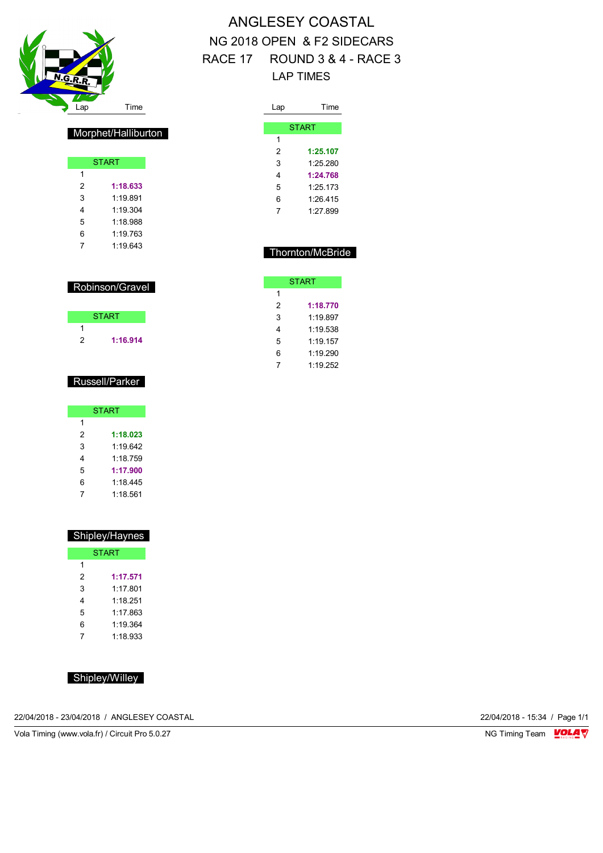

# ANGLESEY COASTAL NG 2018 OPEN & F2 SIDECARS RACE 17 ROUND 3 & 4 - RACE 3 LAP TIMES

| Lap | Time         |
|-----|--------------|
|     |              |
|     | <b>START</b> |
| 1   |              |
| 2   | 1:25.107     |
| 3   | 1:25.280     |
| 4   | 1:24.768     |
| 5   | 1.25173      |
| 6   | 1.26415      |
| 7   | 1.27899      |
|     |              |

## Thornton/McBride

|   | <b>START</b> |
|---|--------------|
| 1 |              |
| 2 | 1:18.770     |
| 3 | 1.19897      |
| 4 | 1.19.538     |
| 5 | 1:19.157     |
| 6 | 1.19290      |
| 7 | 1:19 252     |
|   |              |

## Morphet/Halliburton

|   | <b>START</b> |
|---|--------------|
| 1 |              |
| 2 | 1:18.633     |
| 3 | 1.19891      |
| 4 | 1.19.304     |
| 5 | 1:18 988     |
| 6 | 1.19 763     |
| 7 | 1.19643      |

| Robinson/Gravel |
|-----------------|
|-----------------|

## Russell/Parker

| <b>START</b> |          |  |  |  |
|--------------|----------|--|--|--|
| 1            |          |  |  |  |
| 2            | 1:18.023 |  |  |  |
| 3            | 1.19642  |  |  |  |
| 4            | 1:18.759 |  |  |  |
| 5            | 1:17.900 |  |  |  |
| 6            | 1:18.445 |  |  |  |
|              | 1:18.561 |  |  |  |

| <b>Shipley/Haynes</b> |          |  |  |  |  |  |
|-----------------------|----------|--|--|--|--|--|
| <b>START</b>          |          |  |  |  |  |  |
| 1                     |          |  |  |  |  |  |
| 2                     | 1:17.571 |  |  |  |  |  |
| 3                     | 1.17 801 |  |  |  |  |  |
| 4                     | 1 18 251 |  |  |  |  |  |
| 5                     | 1.17 863 |  |  |  |  |  |
| 6                     | 1:19 364 |  |  |  |  |  |
| 7                     | 1:18.933 |  |  |  |  |  |

Shipley/Willey

22/04/2018 - 23/04/2018 / ANGLESEY COASTAL 22/04/2018 - 15:34 / Page 1/1

Vola Timing (www.vola.fr) / Circuit Pro 5.0.27 NG Timing Team VOLA V